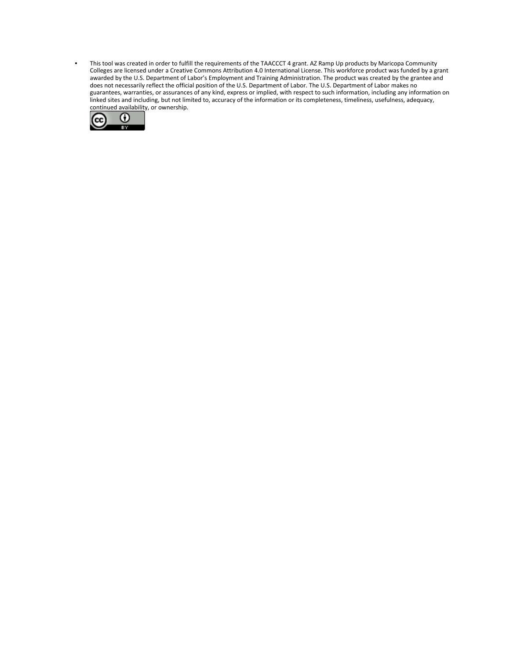• This tool was created in order to fulfill the requirements of the TAACCCT 4 grant. AZ Ramp Up products by Maricopa Community Colleges are licensed under a Creative Commons Attribution 4.0 International License. This workforce product was funded by a grant awarded by the U.S. Department of Labor's Employment and Training Administration. The product was created by the grantee and does not necessarily reflect the official position of the U.S. Department of Labor. The U.S. Department of Labor makes no guarantees, warranties, or assurances of any kind, express or implied, with respect to such information, including any information on linked sites and including, but not limited to, accuracy of the information or its completeness, timeliness, usefulness, adequacy, continued availability, or ownership.

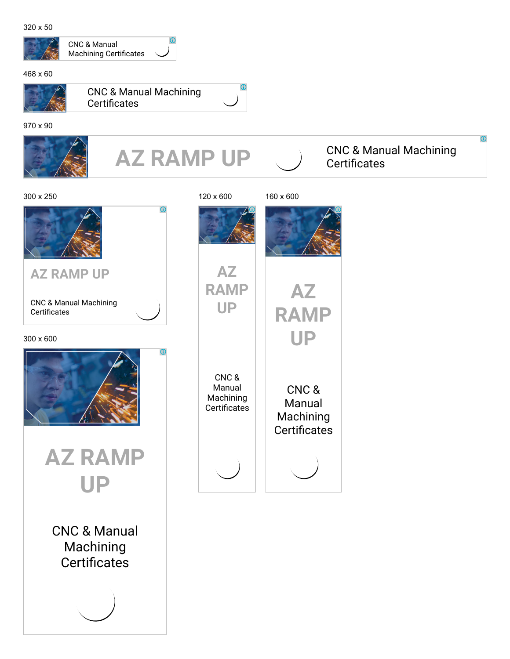320 x 50



468 x 60



CNC & Manual Machining Certificates



 $\bigcirc$ 

 $\odot$ 

CNC & Manual Machining Certificates